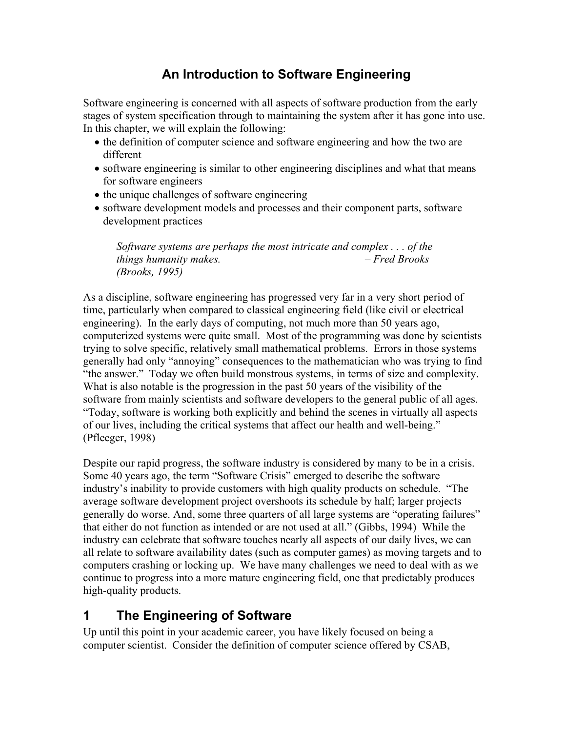# **An Introduction to Software Engineering**

Software engineering is concerned with all aspects of software production from the early stages of system specification through to maintaining the system after it has gone into use. In this chapter, we will explain the following:

- the definition of computer science and software engineering and how the two are different
- software engineering is similar to other engineering disciplines and what that means for software engineers
- the unique challenges of software engineering
- software development models and processes and their component parts, software development practices

*Software systems are perhaps the most intricate and complex . . . of the things humanity makes. – Fred Brooks (Brooks, 1995)* 

As a discipline, software engineering has progressed very far in a very short period of time, particularly when compared to classical engineering field (like civil or electrical engineering). In the early days of computing, not much more than 50 years ago, computerized systems were quite small. Most of the programming was done by scientists trying to solve specific, relatively small mathematical problems. Errors in those systems generally had only "annoying" consequences to the mathematician who was trying to find "the answer." Today we often build monstrous systems, in terms of size and complexity. What is also notable is the progression in the past 50 years of the visibility of the software from mainly scientists and software developers to the general public of all ages. "Today, software is working both explicitly and behind the scenes in virtually all aspects of our lives, including the critical systems that affect our health and well-being." (Pfleeger, 1998)

Despite our rapid progress, the software industry is considered by many to be in a crisis. Some 40 years ago, the term "Software Crisis" emerged to describe the software industry's inability to provide customers with high quality products on schedule. "The average software development project overshoots its schedule by half; larger projects generally do worse. And, some three quarters of all large systems are "operating failures" that either do not function as intended or are not used at all." (Gibbs, 1994) While the industry can celebrate that software touches nearly all aspects of our daily lives, we can all relate to software availability dates (such as computer games) as moving targets and to computers crashing or locking up. We have many challenges we need to deal with as we continue to progress into a more mature engineering field, one that predictably produces high-quality products.

## **1 The Engineering of Software**

Up until this point in your academic career, you have likely focused on being a computer scientist. Consider the definition of computer science offered by CSAB,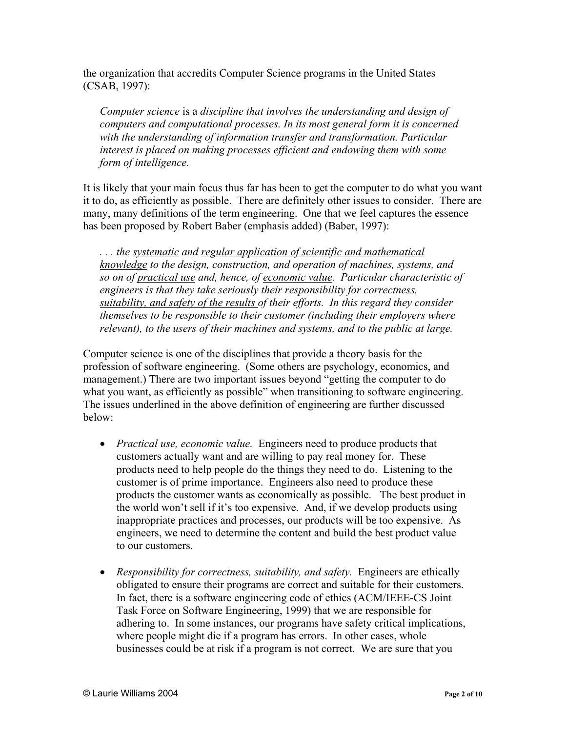the organization that accredits Computer Science programs in the United States (CSAB, 1997):

*Computer science* is a *discipline that involves the understanding and design of computers and computational processes. In its most general form it is concerned with the understanding of information transfer and transformation. Particular interest is placed on making processes efficient and endowing them with some form of intelligence.* 

It is likely that your main focus thus far has been to get the computer to do what you want it to do, as efficiently as possible. There are definitely other issues to consider. There are many, many definitions of the term engineering. One that we feel captures the essence has been proposed by Robert Baber (emphasis added) (Baber, 1997):

*. . . the systematic and regular application of scientific and mathematical knowledge to the design, construction, and operation of machines, systems, and so on of practical use and, hence, of economic value. Particular characteristic of engineers is that they take seriously their responsibility for correctness, suitability, and safety of the results of their efforts. In this regard they consider themselves to be responsible to their customer (including their employers where relevant), to the users of their machines and systems, and to the public at large.* 

Computer science is one of the disciplines that provide a theory basis for the profession of software engineering. (Some others are psychology, economics, and management.) There are two important issues beyond "getting the computer to do what you want, as efficiently as possible" when transitioning to software engineering. The issues underlined in the above definition of engineering are further discussed below:

- *Practical use, economic value.* Engineers need to produce products that customers actually want and are willing to pay real money for. These products need to help people do the things they need to do. Listening to the customer is of prime importance. Engineers also need to produce these products the customer wants as economically as possible. The best product in the world won't sell if it's too expensive. And, if we develop products using inappropriate practices and processes, our products will be too expensive. As engineers, we need to determine the content and build the best product value to our customers.
- *Responsibility for correctness, suitability, and safety.* Engineers are ethically obligated to ensure their programs are correct and suitable for their customers. In fact, there is a software engineering code of ethics (ACM/IEEE-CS Joint Task Force on Software Engineering, 1999) that we are responsible for adhering to. In some instances, our programs have safety critical implications, where people might die if a program has errors. In other cases, whole businesses could be at risk if a program is not correct. We are sure that you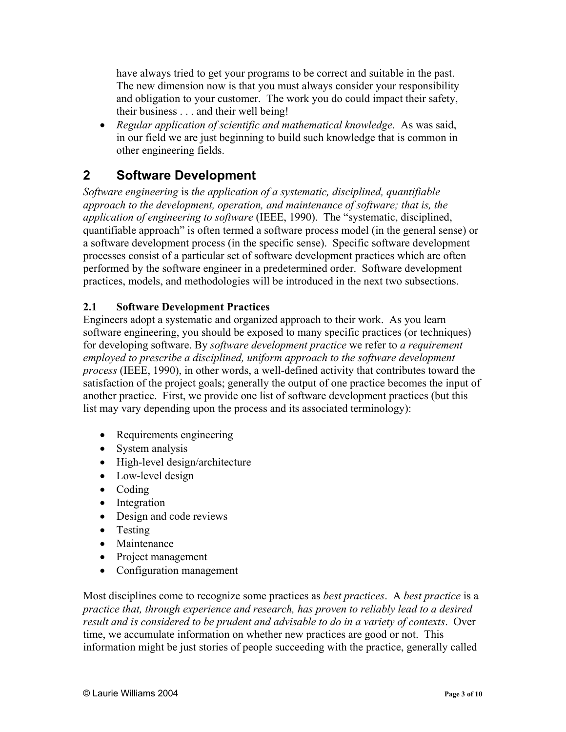have always tried to get your programs to be correct and suitable in the past. The new dimension now is that you must always consider your responsibility and obligation to your customer. The work you do could impact their safety, their business . . . and their well being!

• *Regular application of scientific and mathematical knowledge*. As was said, in our field we are just beginning to build such knowledge that is common in other engineering fields.

## **2 Software Development**

*Software engineering* is *the application of a systematic, disciplined, quantifiable approach to the development, operation, and maintenance of software; that is, the application of engineering to software* (IEEE, 1990). The "systematic, disciplined, quantifiable approach" is often termed a software process model (in the general sense) or a software development process (in the specific sense). Specific software development processes consist of a particular set of software development practices which are often performed by the software engineer in a predetermined order. Software development practices, models, and methodologies will be introduced in the next two subsections.

### **2.1 Software Development Practices**

Engineers adopt a systematic and organized approach to their work. As you learn software engineering, you should be exposed to many specific practices (or techniques) for developing software. By *software development practice* we refer to *a requirement employed to prescribe a disciplined, uniform approach to the software development process* (IEEE, 1990), in other words, a well-defined activity that contributes toward the satisfaction of the project goals; generally the output of one practice becomes the input of another practice. First, we provide one list of software development practices (but this list may vary depending upon the process and its associated terminology):

- Requirements engineering
- System analysis
- High-level design/architecture
- Low-level design
- Coding
- Integration
- Design and code reviews
- Testing
- Maintenance
- Project management
- Configuration management

Most disciplines come to recognize some practices as *best practices*. A *best practice* is a *practice that, through experience and research, has proven to reliably lead to a desired result and is considered to be prudent and advisable to do in a variety of contexts*. Over time, we accumulate information on whether new practices are good or not. This information might be just stories of people succeeding with the practice, generally called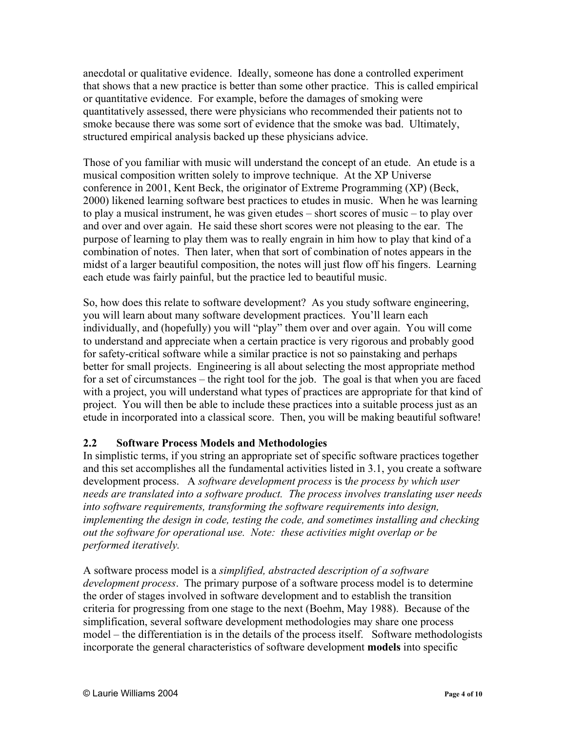anecdotal or qualitative evidence. Ideally, someone has done a controlled experiment that shows that a new practice is better than some other practice. This is called empirical or quantitative evidence. For example, before the damages of smoking were quantitatively assessed, there were physicians who recommended their patients not to smoke because there was some sort of evidence that the smoke was bad. Ultimately, structured empirical analysis backed up these physicians advice.

Those of you familiar with music will understand the concept of an etude. An etude is a musical composition written solely to improve technique. At the XP Universe conference in 2001, Kent Beck, the originator of Extreme Programming (XP) (Beck, 2000) likened learning software best practices to etudes in music. When he was learning to play a musical instrument, he was given etudes – short scores of music – to play over and over and over again. He said these short scores were not pleasing to the ear. The purpose of learning to play them was to really engrain in him how to play that kind of a combination of notes. Then later, when that sort of combination of notes appears in the midst of a larger beautiful composition, the notes will just flow off his fingers. Learning each etude was fairly painful, but the practice led to beautiful music.

So, how does this relate to software development? As you study software engineering, you will learn about many software development practices. You'll learn each individually, and (hopefully) you will "play" them over and over again. You will come to understand and appreciate when a certain practice is very rigorous and probably good for safety-critical software while a similar practice is not so painstaking and perhaps better for small projects. Engineering is all about selecting the most appropriate method for a set of circumstances – the right tool for the job. The goal is that when you are faced with a project, you will understand what types of practices are appropriate for that kind of project. You will then be able to include these practices into a suitable process just as an etude in incorporated into a classical score. Then, you will be making beautiful software!

### **2.2 Software Process Models and Methodologies**

In simplistic terms, if you string an appropriate set of specific software practices together and this set accomplishes all the fundamental activities listed in 3.1, you create a software development process. A *software development process* is t*he process by which user needs are translated into a software product. The process involves translating user needs into software requirements, transforming the software requirements into design, implementing the design in code, testing the code, and sometimes installing and checking out the software for operational use. Note: these activities might overlap or be performed iteratively.*

A software process model is a *simplified, abstracted description of a software development process*. The primary purpose of a software process model is to determine the order of stages involved in software development and to establish the transition criteria for progressing from one stage to the next (Boehm, May 1988). Because of the simplification, several software development methodologies may share one process model – the differentiation is in the details of the process itself. Software methodologists incorporate the general characteristics of software development **models** into specific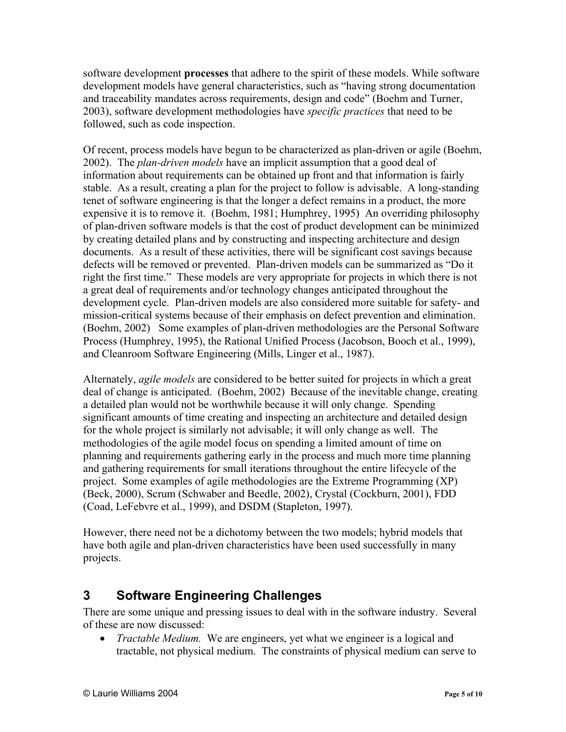software development **processes** that adhere to the spirit of these models. While software development models have general characteristics, such as "having strong documentation and traceability mandates across requirements, design and code" (Boehm and Turner, 2003), software development methodologies have *specific practices* that need to be followed, such as code inspection.

Of recent, process models have begun to be characterized as plan-driven or agile (Boehm, 2002). The *plan-driven models* have an implicit assumption that a good deal of information about requirements can be obtained up front and that information is fairly stable. As a result, creating a plan for the project to follow is advisable. A long-standing tenet of software engineering is that the longer a defect remains in a product, the more expensive it is to remove it. (Boehm, 1981; Humphrey, 1995) An overriding philosophy of plan-driven software models is that the cost of product development can be minimized by creating detailed plans and by constructing and inspecting architecture and design documents. As a result of these activities, there will be significant cost savings because defects will be removed or prevented. Plan-driven models can be summarized as "Do it right the first time." These models are very appropriate for projects in which there is not a great deal of requirements and/or technology changes anticipated throughout the development cycle. Plan-driven models are also considered more suitable for safety- and mission-critical systems because of their emphasis on defect prevention and elimination. (Boehm, 2002) Some examples of plan-driven methodologies are the Personal Software Process (Humphrey, 1995), the Rational Unified Process (Jacobson, Booch et al., 1999), and Cleanroom Software Engineering (Mills, Linger et al., 1987).

Alternately, *agile models* are considered to be better suited for projects in which a great deal of change is anticipated. (Boehm, 2002) Because of the inevitable change, creating a detailed plan would not be worthwhile because it will only change. Spending significant amounts of time creating and inspecting an architecture and detailed design for the whole project is similarly not advisable; it will only change as well. The methodologies of the agile model focus on spending a limited amount of time on planning and requirements gathering early in the process and much more time planning and gathering requirements for small iterations throughout the entire lifecycle of the project. Some examples of agile methodologies are the Extreme Programming (XP) (Beck, 2000), Scrum (Schwaber and Beedle, 2002), Crystal (Cockburn, 2001), FDD (Coad, LeFebvre et al., 1999), and DSDM (Stapleton, 1997).

However, there need not be a dichotomy between the two models; hybrid models that have both agile and plan-driven characteristics have been used successfully in many projects.

## **3 Software Engineering Challenges**

There are some unique and pressing issues to deal with in the software industry. Several of these are now discussed:

• *Tractable Medium.* We are engineers, yet what we engineer is a logical and tractable, not physical medium. The constraints of physical medium can serve to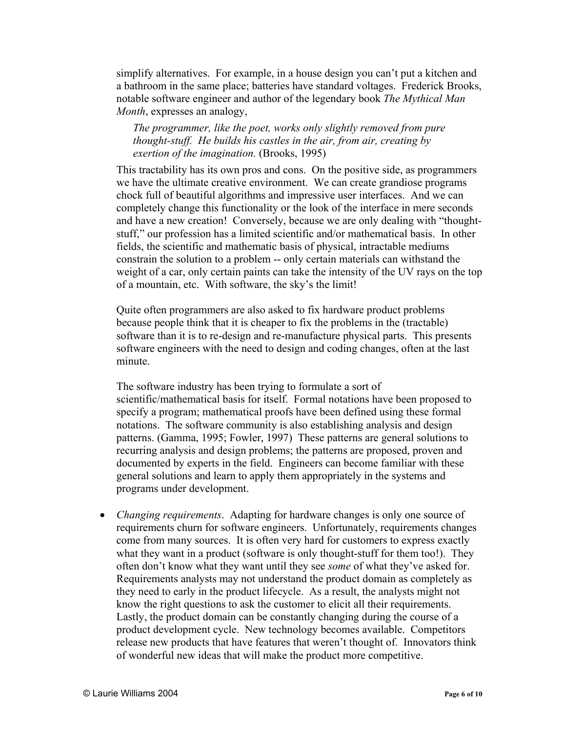simplify alternatives. For example, in a house design you can't put a kitchen and a bathroom in the same place; batteries have standard voltages. Frederick Brooks, notable software engineer and author of the legendary book *The Mythical Man Month*, expresses an analogy,

*The programmer, like the poet, works only slightly removed from pure thought-stuff. He builds his castles in the air, from air, creating by exertion of the imagination.* (Brooks, 1995)

This tractability has its own pros and cons. On the positive side, as programmers we have the ultimate creative environment. We can create grandiose programs chock full of beautiful algorithms and impressive user interfaces. And we can completely change this functionality or the look of the interface in mere seconds and have a new creation! Conversely, because we are only dealing with "thoughtstuff," our profession has a limited scientific and/or mathematical basis. In other fields, the scientific and mathematic basis of physical, intractable mediums constrain the solution to a problem -- only certain materials can withstand the weight of a car, only certain paints can take the intensity of the UV rays on the top of a mountain, etc. With software, the sky's the limit!

Quite often programmers are also asked to fix hardware product problems because people think that it is cheaper to fix the problems in the (tractable) software than it is to re-design and re-manufacture physical parts. This presents software engineers with the need to design and coding changes, often at the last minute.

The software industry has been trying to formulate a sort of scientific/mathematical basis for itself. Formal notations have been proposed to specify a program; mathematical proofs have been defined using these formal notations. The software community is also establishing analysis and design patterns. (Gamma, 1995; Fowler, 1997) These patterns are general solutions to recurring analysis and design problems; the patterns are proposed, proven and documented by experts in the field. Engineers can become familiar with these general solutions and learn to apply them appropriately in the systems and programs under development.

• *Changing requirements*. Adapting for hardware changes is only one source of requirements churn for software engineers. Unfortunately, requirements changes come from many sources. It is often very hard for customers to express exactly what they want in a product (software is only thought-stuff for them too!). They often don't know what they want until they see *some* of what they've asked for. Requirements analysts may not understand the product domain as completely as they need to early in the product lifecycle. As a result, the analysts might not know the right questions to ask the customer to elicit all their requirements. Lastly, the product domain can be constantly changing during the course of a product development cycle. New technology becomes available. Competitors release new products that have features that weren't thought of. Innovators think of wonderful new ideas that will make the product more competitive.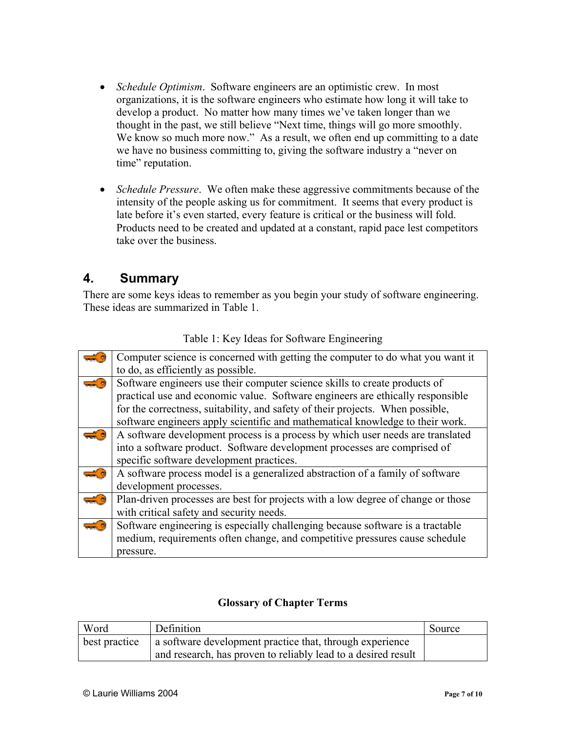- *Schedule Optimism*. Software engineers are an optimistic crew. In most organizations, it is the software engineers who estimate how long it will take to develop a product. No matter how many times we've taken longer than we thought in the past, we still believe "Next time, things will go more smoothly. We know so much more now." As a result, we often end up committing to a date we have no business committing to, giving the software industry a "never on time" reputation.
- *Schedule Pressure*. We often make these aggressive commitments because of the intensity of the people asking us for commitment. It seems that every product is late before it's even started, every feature is critical or the business will fold. Products need to be created and updated at a constant, rapid pace lest competitors take over the business.

## **4. Summary**

There are some keys ideas to remember as you begin your study of software engineering. These ideas are summarized in Table 1.

| Computer science is concerned with getting the computer to do what you want it   |
|----------------------------------------------------------------------------------|
| to do, as efficiently as possible.                                               |
| Software engineers use their computer science skills to create products of       |
| practical use and economic value. Software engineers are ethically responsible   |
| for the correctness, suitability, and safety of their projects. When possible,   |
| software engineers apply scientific and mathematical knowledge to their work.    |
| A software development process is a process by which user needs are translated   |
| into a software product. Software development processes are comprised of         |
| specific software development practices.                                         |
| A software process model is a generalized abstraction of a family of software    |
| development processes.                                                           |
| Plan-driven processes are best for projects with a low degree of change or those |
| with critical safety and security needs.                                         |
| Software engineering is especially challenging because software is a tractable   |
| medium, requirements often change, and competitive pressures cause schedule      |
| pressure.                                                                        |

|  |  | Table 1: Key Ideas for Software Engineering |  |  |
|--|--|---------------------------------------------|--|--|
|  |  |                                             |  |  |

### **Glossary of Chapter Terms**

| Word          | Definition                                                                                                                | Source |
|---------------|---------------------------------------------------------------------------------------------------------------------------|--------|
| best practice | a software development practice that, through experience<br>and research, has proven to reliably lead to a desired result |        |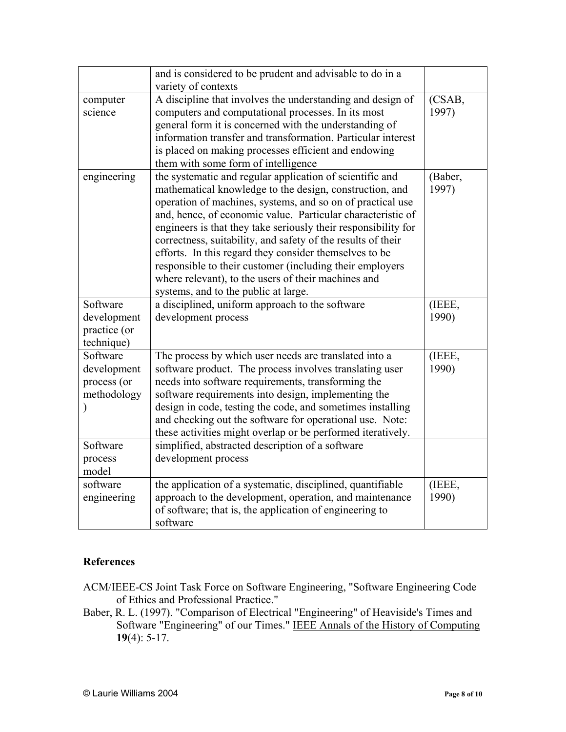|                                                       | and is considered to be prudent and advisable to do in a<br>variety of contexts                                                                                                                                                                                                                                                                                                                                                                                                                                                                                                                         |                  |
|-------------------------------------------------------|---------------------------------------------------------------------------------------------------------------------------------------------------------------------------------------------------------------------------------------------------------------------------------------------------------------------------------------------------------------------------------------------------------------------------------------------------------------------------------------------------------------------------------------------------------------------------------------------------------|------------------|
| computer<br>science                                   | A discipline that involves the understanding and design of<br>computers and computational processes. In its most<br>general form it is concerned with the understanding of<br>information transfer and transformation. Particular interest<br>is placed on making processes efficient and endowing<br>them with some form of intelligence                                                                                                                                                                                                                                                               | (CSAB,<br>1997)  |
| engineering                                           | the systematic and regular application of scientific and<br>mathematical knowledge to the design, construction, and<br>operation of machines, systems, and so on of practical use<br>and, hence, of economic value. Particular characteristic of<br>engineers is that they take seriously their responsibility for<br>correctness, suitability, and safety of the results of their<br>efforts. In this regard they consider themselves to be<br>responsible to their customer (including their employers<br>where relevant), to the users of their machines and<br>systems, and to the public at large. | (Baber,<br>1997) |
| Software<br>development<br>practice (or<br>technique) | a disciplined, uniform approach to the software<br>development process                                                                                                                                                                                                                                                                                                                                                                                                                                                                                                                                  | (IEEE,<br>1990)  |
| Software<br>development<br>process (or<br>methodology | The process by which user needs are translated into a<br>software product. The process involves translating user<br>needs into software requirements, transforming the<br>software requirements into design, implementing the<br>design in code, testing the code, and sometimes installing<br>and checking out the software for operational use. Note:<br>these activities might overlap or be performed iteratively.                                                                                                                                                                                  | (IEEE,<br>1990)  |
| Software<br>process<br>model                          | simplified, abstracted description of a software<br>development process                                                                                                                                                                                                                                                                                                                                                                                                                                                                                                                                 |                  |
| software<br>engineering                               | the application of a systematic, disciplined, quantifiable<br>approach to the development, operation, and maintenance<br>of software; that is, the application of engineering to<br>software                                                                                                                                                                                                                                                                                                                                                                                                            | (IEEE,<br>1990)  |

#### **References**

- ACM/IEEE-CS Joint Task Force on Software Engineering, "Software Engineering Code of Ethics and Professional Practice."
- Baber, R. L. (1997). "Comparison of Electrical "Engineering" of Heaviside's Times and Software "Engineering" of our Times." IEEE Annals of the History of Computing **19**(4): 5-17.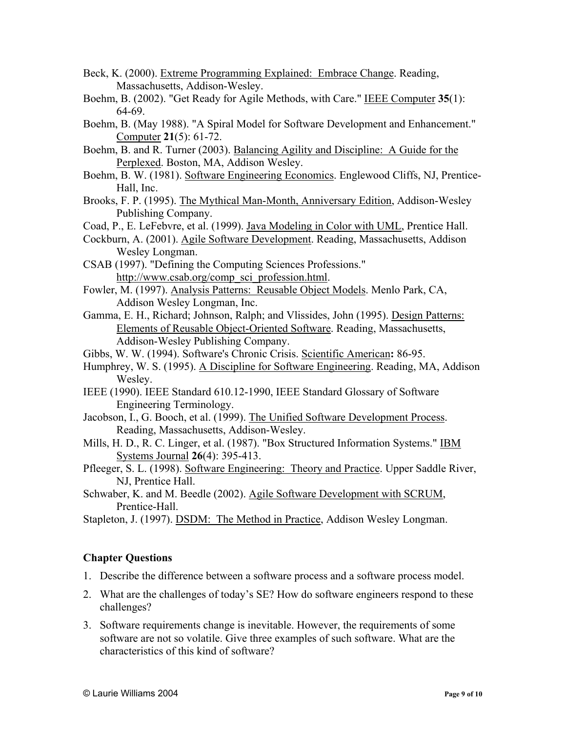- Beck, K. (2000). Extreme Programming Explained: Embrace Change. Reading, Massachusetts, Addison-Wesley.
- Boehm, B. (2002). "Get Ready for Agile Methods, with Care." IEEE Computer **35**(1): 64-69.
- Boehm, B. (May 1988). "A Spiral Model for Software Development and Enhancement." Computer **21**(5): 61-72.
- Boehm, B. and R. Turner (2003). Balancing Agility and Discipline: A Guide for the Perplexed. Boston, MA, Addison Wesley.
- Boehm, B. W. (1981). Software Engineering Economics. Englewood Cliffs, NJ, Prentice-Hall, Inc.
- Brooks, F. P. (1995). The Mythical Man-Month, Anniversary Edition, Addison-Wesley Publishing Company.
- Coad, P., E. LeFebvre, et al. (1999). Java Modeling in Color with UML, Prentice Hall.
- Cockburn, A. (2001). Agile Software Development. Reading, Massachusetts, Addison Wesley Longman.
- CSAB (1997). "Defining the Computing Sciences Professions." http://www.csab.org/comp\_sci\_profession.html.
- Fowler, M. (1997). Analysis Patterns: Reusable Object Models. Menlo Park, CA, Addison Wesley Longman, Inc.
- Gamma, E. H., Richard; Johnson, Ralph; and Vlissides, John (1995). Design Patterns: Elements of Reusable Object-Oriented Software. Reading, Massachusetts, Addison-Wesley Publishing Company.
- Gibbs, W. W. (1994). Software's Chronic Crisis. Scientific American**:** 86-95.
- Humphrey, W. S. (1995). A Discipline for Software Engineering. Reading, MA, Addison Wesley.
- IEEE (1990). IEEE Standard 610.12-1990, IEEE Standard Glossary of Software Engineering Terminology.
- Jacobson, I., G. Booch, et al. (1999). The Unified Software Development Process. Reading, Massachusetts, Addison-Wesley.
- Mills, H. D., R. C. Linger, et al. (1987). "Box Structured Information Systems." IBM Systems Journal **26**(4): 395-413.
- Pfleeger, S. L. (1998). Software Engineering: Theory and Practice. Upper Saddle River, NJ, Prentice Hall.
- Schwaber, K. and M. Beedle (2002). Agile Software Development with SCRUM, Prentice-Hall.
- Stapleton, J. (1997). DSDM: The Method in Practice, Addison Wesley Longman.

### **Chapter Questions**

- 1. Describe the difference between a software process and a software process model.
- 2. What are the challenges of today's SE? How do software engineers respond to these challenges?
- 3. Software requirements change is inevitable. However, the requirements of some software are not so volatile. Give three examples of such software. What are the characteristics of this kind of software?